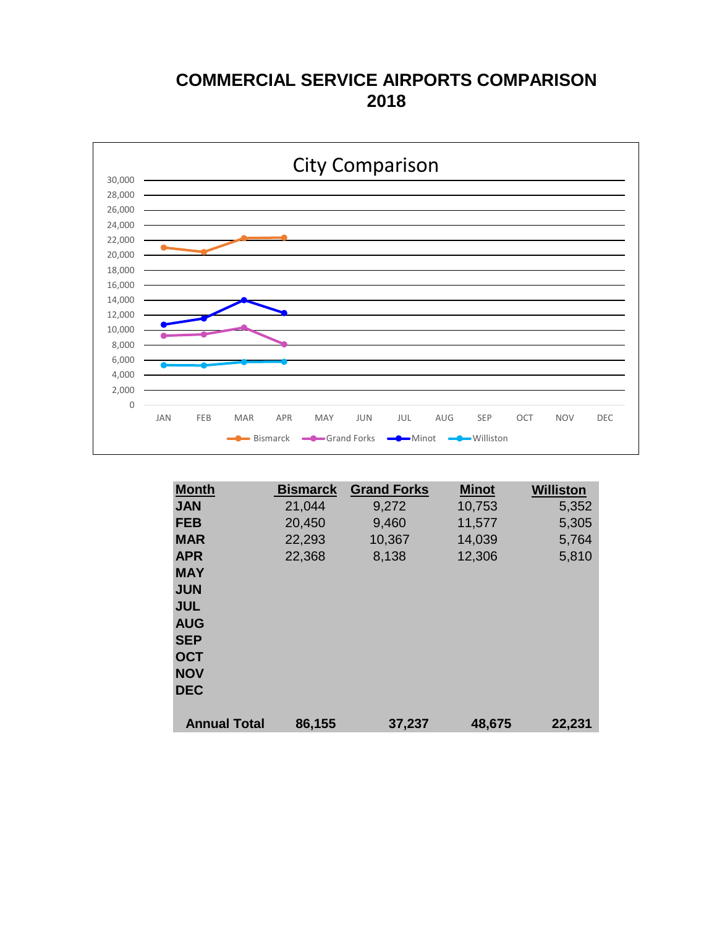#### **COMMERCIAL SERVICE AIRPORTS COMPARISON 2018**



| <b>Month</b>        | <b>Bismarck</b> | <b>Grand Forks</b> | <b>Minot</b> | <b>Williston</b> |
|---------------------|-----------------|--------------------|--------------|------------------|
| <b>JAN</b>          | 21,044          | 9,272              | 10,753       | 5,352            |
| <b>FEB</b>          | 20,450          | 9,460              | 11,577       | 5,305            |
| <b>MAR</b>          | 22,293          | 10,367             | 14,039       | 5,764            |
| <b>APR</b>          | 22,368          | 8,138              | 12,306       | 5,810            |
| <b>MAY</b>          |                 |                    |              |                  |
| <b>JUN</b>          |                 |                    |              |                  |
| <b>JUL</b>          |                 |                    |              |                  |
| <b>AUG</b>          |                 |                    |              |                  |
| <b>SEP</b>          |                 |                    |              |                  |
| <b>OCT</b>          |                 |                    |              |                  |
| <b>NOV</b>          |                 |                    |              |                  |
| <b>DEC</b>          |                 |                    |              |                  |
|                     |                 |                    |              |                  |
| <b>Annual Total</b> | 86,155          | 37,237             | 48,675       | 22,231           |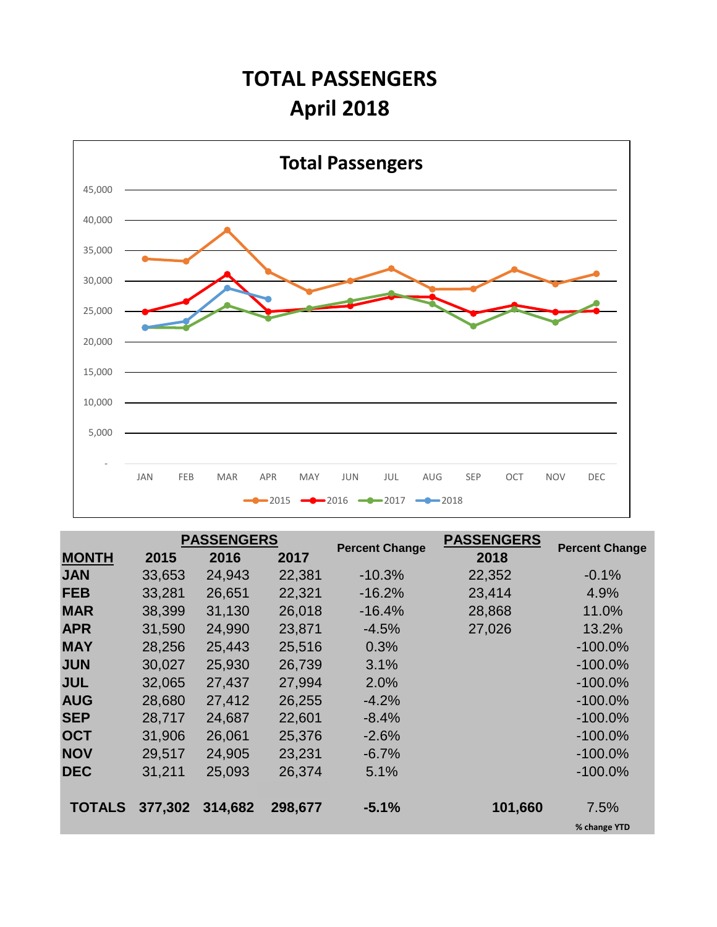## **TOTAL PASSENGERS April 2018**



|               |         | <b>PASSENGERS</b> |         |                       | <b>PASSENGERS</b> |                       |
|---------------|---------|-------------------|---------|-----------------------|-------------------|-----------------------|
| <b>MONTH</b>  | 2015    | 2016              | 2017    | <b>Percent Change</b> | 2018              | <b>Percent Change</b> |
| <b>JAN</b>    | 33,653  | 24,943            | 22,381  | $-10.3%$              | 22,352            | $-0.1%$               |
| <b>FEB</b>    | 33,281  | 26,651            | 22,321  | $-16.2%$              | 23,414            | 4.9%                  |
| <b>MAR</b>    | 38,399  | 31,130            | 26,018  | $-16.4%$              | 28,868            | 11.0%                 |
| <b>APR</b>    | 31,590  | 24,990            | 23,871  | $-4.5%$               | 27,026            | 13.2%                 |
| <b>MAY</b>    | 28,256  | 25,443            | 25,516  | 0.3%                  |                   | $-100.0\%$            |
| <b>JUN</b>    | 30,027  | 25,930            | 26,739  | 3.1%                  |                   | $-100.0\%$            |
| <b>JUL</b>    | 32,065  | 27,437            | 27,994  | 2.0%                  |                   | $-100.0\%$            |
| <b>AUG</b>    | 28,680  | 27,412            | 26,255  | $-4.2%$               |                   | $-100.0\%$            |
| <b>SEP</b>    | 28,717  | 24,687            | 22,601  | $-8.4%$               |                   | $-100.0\%$            |
| <b>OCT</b>    | 31,906  | 26,061            | 25,376  | $-2.6%$               |                   | $-100.0\%$            |
| <b>NOV</b>    | 29,517  | 24,905            | 23,231  | $-6.7%$               |                   | $-100.0\%$            |
| <b>DEC</b>    | 31,211  | 25,093            | 26,374  | 5.1%                  |                   | $-100.0\%$            |
|               |         |                   |         |                       |                   |                       |
| <b>TOTALS</b> | 377,302 | 314,682           | 298,677 | $-5.1%$               | 101,660           | 7.5%                  |
|               |         |                   |         |                       |                   | % change YTD          |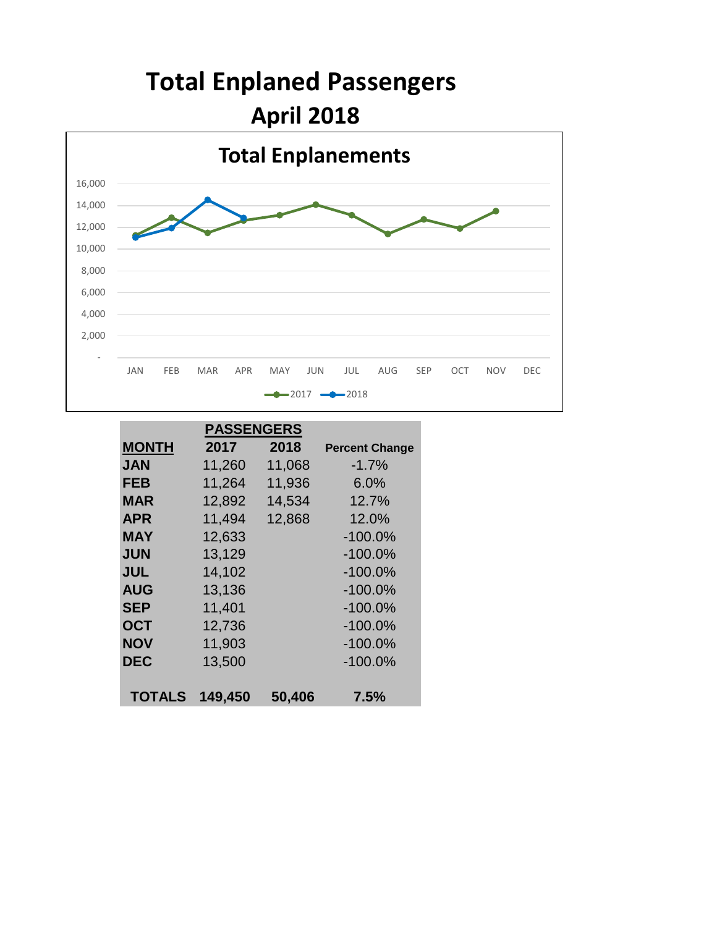

|               | <b>PASSENGERS</b> |        |                       |
|---------------|-------------------|--------|-----------------------|
| <b>MONTH</b>  | 2017              | 2018   | <b>Percent Change</b> |
| <b>JAN</b>    | 11,260            | 11,068 | $-1.7%$               |
| <b>FEB</b>    | 11,264            | 11,936 | 6.0%                  |
| MAR           | 12,892            | 14,534 | 12.7%                 |
| <b>APR</b>    | 11,494            | 12,868 | 12.0%                 |
| MAY           | 12,633            |        | $-100.0%$             |
| <b>JUN</b>    | 13,129            |        | $-100.0%$             |
| <b>JUL</b>    | 14,102            |        | $-100.0%$             |
| <b>AUG</b>    | 13,136            |        | $-100.0%$             |
| <b>SEP</b>    | 11,401            |        | $-100.0%$             |
| <b>OCT</b>    | 12,736            |        | $-100.0%$             |
| <b>NOV</b>    | 11,903            |        | $-100.0%$             |
| <b>DEC</b>    | 13,500            |        | $-100.0%$             |
|               |                   |        |                       |
| <b>TOTALS</b> | 149,450           | 50,406 | 7.5%                  |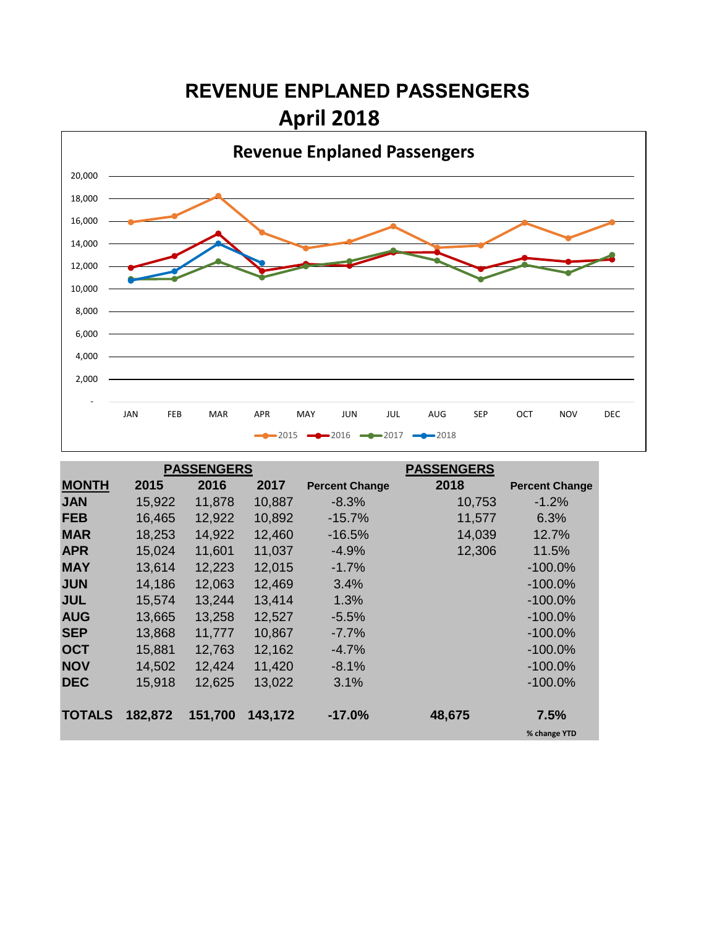## **REVENUE ENPLANED PASSENGERS April 2018**



|               |         | <b>PASSENGERS</b> |         |                       | <b>PASSENGERS</b> |                       |
|---------------|---------|-------------------|---------|-----------------------|-------------------|-----------------------|
| <b>MONTH</b>  | 2015    | 2016              | 2017    | <b>Percent Change</b> | 2018              | <b>Percent Change</b> |
| <b>JAN</b>    | 15,922  | 11,878            | 10,887  | $-8.3\%$              | 10,753            | $-1.2%$               |
| <b>FEB</b>    | 16,465  | 12,922            | 10,892  | $-15.7%$              | 11,577            | 6.3%                  |
| <b>MAR</b>    | 18,253  | 14,922            | 12,460  | $-16.5%$              | 14,039            | 12.7%                 |
| <b>APR</b>    | 15,024  | 11,601            | 11,037  | $-4.9%$               | 12,306            | 11.5%                 |
| <b>MAY</b>    | 13,614  | 12,223            | 12,015  | $-1.7%$               |                   | $-100.0\%$            |
| <b>JUN</b>    | 14,186  | 12,063            | 12,469  | 3.4%                  |                   | $-100.0\%$            |
| <b>JUL</b>    | 15,574  | 13,244            | 13,414  | 1.3%                  |                   | $-100.0\%$            |
| <b>AUG</b>    | 13,665  | 13,258            | 12,527  | $-5.5%$               |                   | $-100.0\%$            |
| <b>SEP</b>    | 13,868  | 11,777            | 10,867  | $-7.7\%$              |                   | $-100.0\%$            |
| <b>OCT</b>    | 15,881  | 12,763            | 12,162  | $-4.7\%$              |                   | $-100.0\%$            |
| <b>NOV</b>    | 14,502  | 12,424            | 11,420  | $-8.1\%$              |                   | $-100.0\%$            |
| <b>DEC</b>    | 15,918  | 12,625            | 13,022  | 3.1%                  |                   | $-100.0\%$            |
|               |         |                   |         |                       |                   |                       |
| <b>TOTALS</b> | 182,872 | 151,700           | 143,172 | $-17.0%$              | 48,675            | 7.5%                  |
|               |         |                   |         |                       |                   | % change YTD          |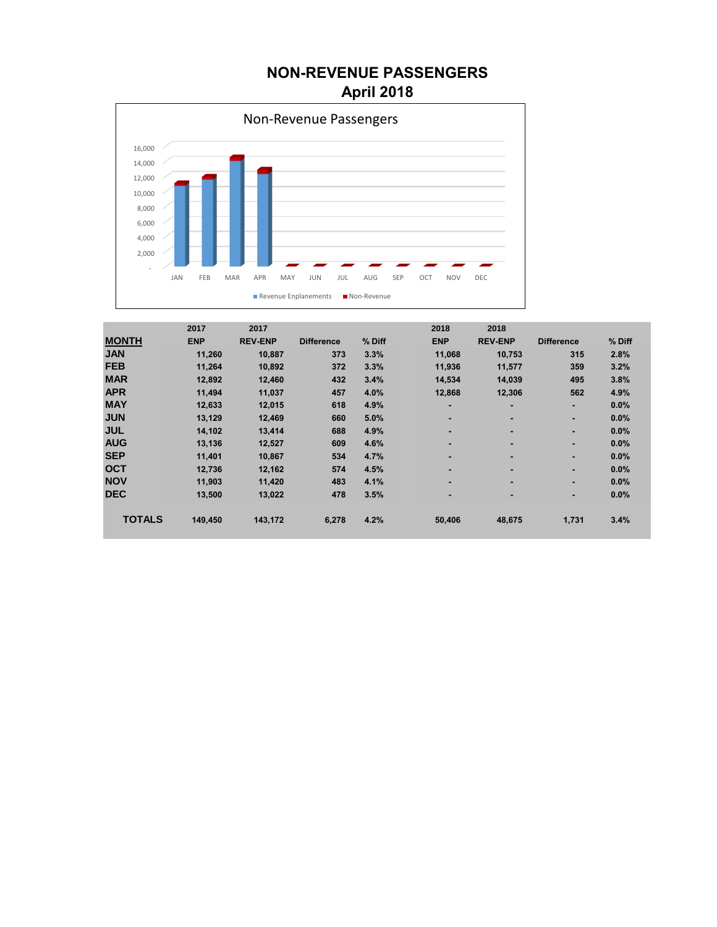#### **NON-REVENUE PASSENGERS April 2018**



|               | 2017       | 2017           |                   |        | 2018       | 2018                     |                   |        |
|---------------|------------|----------------|-------------------|--------|------------|--------------------------|-------------------|--------|
| <b>MONTH</b>  | <b>ENP</b> | <b>REV-ENP</b> | <b>Difference</b> | % Diff | <b>ENP</b> | <b>REV-ENP</b>           | <b>Difference</b> | % Diff |
| <b>JAN</b>    | 11,260     | 10,887         | 373               | 3.3%   | 11,068     | 10,753                   | 315               | 2.8%   |
| <b>FEB</b>    | 11,264     | 10,892         | 372               | 3.3%   | 11,936     | 11,577                   | 359               | 3.2%   |
| <b>MAR</b>    | 12,892     | 12,460         | 432               | 3.4%   | 14,534     | 14,039                   | 495               | 3.8%   |
| <b>APR</b>    | 11,494     | 11,037         | 457               | 4.0%   | 12,868     | 12,306                   | 562               | 4.9%   |
| <b>MAY</b>    | 12,633     | 12,015         | 618               | 4.9%   | ٠          |                          | ٠                 | 0.0%   |
| <b>JUN</b>    | 13,129     | 12,469         | 660               | 5.0%   | ٠          |                          | ٠                 | 0.0%   |
| <b>JUL</b>    | 14.102     | 13.414         | 688               | 4.9%   | ۰          | $\overline{\phantom{0}}$ |                   | 0.0%   |
| <b>AUG</b>    | 13.136     | 12.527         | 609               | 4.6%   | ۰          |                          | ٠                 | 0.0%   |
| <b>SEP</b>    | 11,401     | 10,867         | 534               | 4.7%   | ٠          | -                        | ٠                 | 0.0%   |
| <b>OCT</b>    | 12,736     | 12,162         | 574               | 4.5%   | ٠          | $\overline{\phantom{a}}$ | ٠                 | 0.0%   |
| <b>NOV</b>    | 11,903     | 11,420         | 483               | 4.1%   |            | $\overline{\phantom{a}}$ | ٠                 | 0.0%   |
| <b>DEC</b>    | 13,500     | 13,022         | 478               | 3.5%   | ٠          | -                        | ٠                 | 0.0%   |
|               |            |                |                   |        |            |                          |                   |        |
| <b>TOTALS</b> | 149,450    | 143,172        | 6,278             | 4.2%   | 50,406     | 48,675                   | 1,731             | 3.4%   |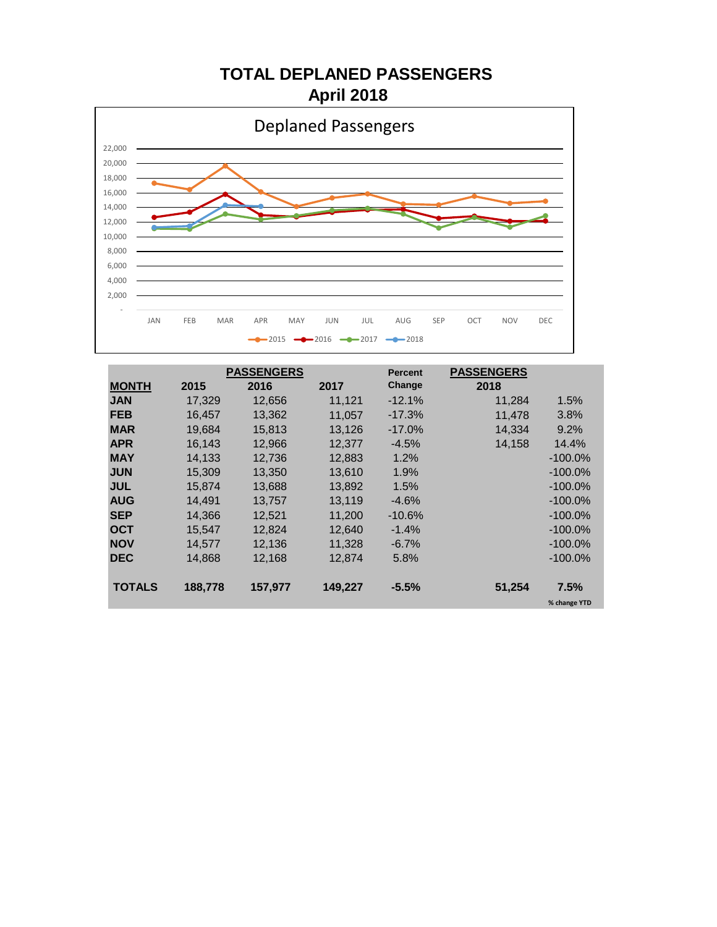**TOTAL DEPLANED PASSENGERS April 2018**



|               |         | <b>PASSENGERS</b> |         | <b>Percent</b> | <b>PASSENGERS</b> |              |
|---------------|---------|-------------------|---------|----------------|-------------------|--------------|
| <b>MONTH</b>  | 2015    | 2016              | 2017    | Change         | 2018              |              |
| <b>JAN</b>    | 17.329  | 12,656            | 11.121  | $-12.1%$       | 11,284            | 1.5%         |
| <b>FEB</b>    | 16,457  | 13,362            | 11,057  | $-17.3%$       | 11,478            | 3.8%         |
| <b>MAR</b>    | 19,684  | 15,813            | 13,126  | $-17.0\%$      | 14,334            | 9.2%         |
| <b>APR</b>    | 16.143  | 12,966            | 12.377  | $-4.5%$        | 14,158            | 14.4%        |
| <b>MAY</b>    | 14,133  | 12,736            | 12,883  | $1.2\%$        |                   | $-100.0\%$   |
| <b>JUN</b>    | 15,309  | 13,350            | 13,610  | 1.9%           |                   | $-100.0\%$   |
| <b>JUL</b>    | 15.874  | 13,688            | 13.892  | 1.5%           |                   | $-100.0\%$   |
| <b>AUG</b>    | 14.491  | 13,757            | 13.119  | $-4.6%$        |                   | $-100.0\%$   |
| <b>SEP</b>    | 14,366  | 12,521            | 11.200  | -10.6%         |                   | $-100.0\%$   |
| <b>OCT</b>    | 15,547  | 12.824            | 12,640  | $-1.4%$        |                   | $-100.0\%$   |
| <b>NOV</b>    | 14,577  | 12,136            | 11,328  | $-6.7\%$       |                   | $-100.0\%$   |
| <b>DEC</b>    | 14,868  | 12,168            | 12,874  | 5.8%           |                   | $-100.0\%$   |
|               |         |                   |         |                |                   |              |
| <b>TOTALS</b> | 188,778 | 157,977           | 149,227 | $-5.5%$        | 51,254            | 7.5%         |
|               |         |                   |         |                |                   | % change YTD |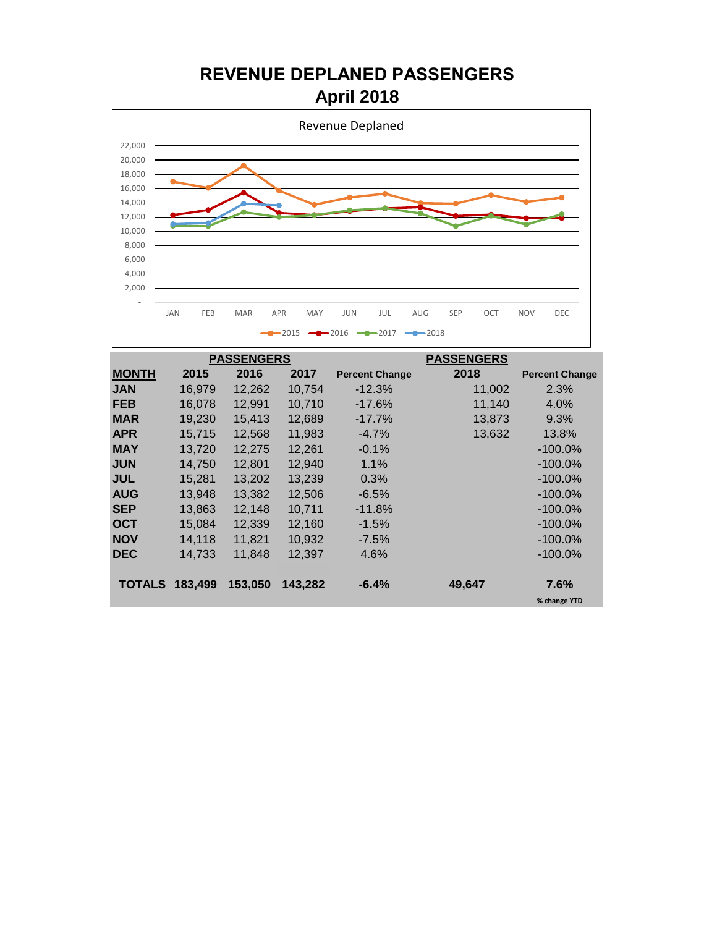#### **REVENUE DEPLANED PASSENGERS April 2018**



|                       |        | <b>PASSENGERS</b> |         |                       | <b>PASSENGERS</b> |                       |
|-----------------------|--------|-------------------|---------|-----------------------|-------------------|-----------------------|
| <b>MONTH</b>          | 2015   | 2016              | 2017    | <b>Percent Change</b> | 2018              | <b>Percent Change</b> |
| <b>JAN</b>            | 16,979 | 12,262            | 10,754  | $-12.3%$              | 11,002            | 2.3%                  |
| <b>FEB</b>            | 16,078 | 12,991            | 10,710  | $-17.6\%$             | 11,140            | 4.0%                  |
| <b>MAR</b>            | 19,230 | 15,413            | 12,689  | $-17.7\%$             | 13,873            | 9.3%                  |
| <b>APR</b>            | 15,715 | 12,568            | 11,983  | $-4.7%$               | 13,632            | 13.8%                 |
| <b>MAY</b>            | 13,720 | 12,275            | 12,261  | $-0.1%$               |                   | $-100.0\%$            |
| <b>JUN</b>            | 14,750 | 12,801            | 12,940  | 1.1%                  |                   | $-100.0\%$            |
| <b>JUL</b>            | 15,281 | 13,202            | 13,239  | 0.3%                  |                   | $-100.0\%$            |
| <b>AUG</b>            | 13,948 | 13,382            | 12,506  | $-6.5%$               |                   | $-100.0\%$            |
| <b>SEP</b>            | 13,863 | 12,148            | 10,711  | $-11.8%$              |                   | $-100.0\%$            |
| <b>OCT</b>            | 15,084 | 12,339            | 12,160  | $-1.5%$               |                   | $-100.0\%$            |
| <b>NOV</b>            | 14,118 | 11,821            | 10,932  | $-7.5\%$              |                   | $-100.0\%$            |
| <b>DEC</b>            | 14,733 | 11,848            | 12,397  | 4.6%                  |                   | $-100.0\%$            |
|                       |        |                   |         |                       |                   |                       |
| <b>TOTALS 183,499</b> |        | 153,050           | 143,282 | $-6.4%$               | 49,647            | 7.6%                  |
|                       |        |                   |         |                       |                   | % change YTD          |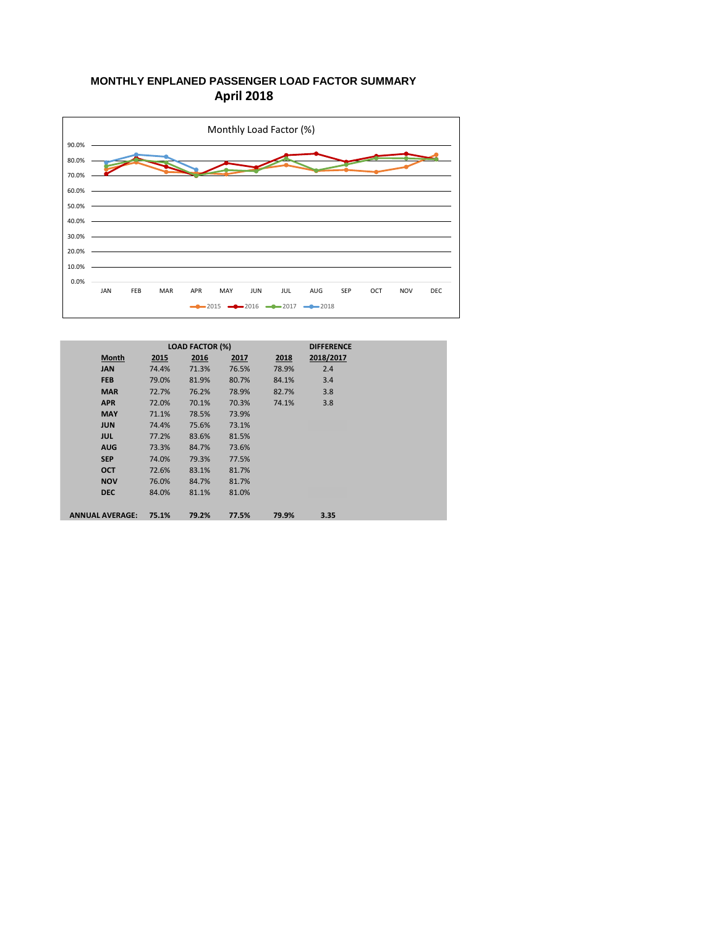#### **MONTHLY ENPLANED PASSENGER LOAD FACTOR SUMMARY April 2018**



|                        |       | <b>LOAD FACTOR (%)</b> |       |       | <b>DIFFERENCE</b> |
|------------------------|-------|------------------------|-------|-------|-------------------|
| <b>Month</b>           | 2015  | 2016                   | 2017  | 2018  | 2018/2017         |
| <b>JAN</b>             | 74.4% | 71.3%                  | 76.5% | 78.9% | 2.4               |
| <b>FEB</b>             | 79.0% | 81.9%                  | 80.7% | 84.1% | 3.4               |
| <b>MAR</b>             | 72.7% | 76.2%                  | 78.9% | 82.7% | 3.8               |
| <b>APR</b>             | 72.0% | 70.1%                  | 70.3% | 74.1% | 3.8               |
| <b>MAY</b>             | 71.1% | 78.5%                  | 73.9% |       |                   |
| <b>JUN</b>             | 74.4% | 75.6%                  | 73.1% |       |                   |
| <b>JUL</b>             | 77.2% | 83.6%                  | 81.5% |       |                   |
| <b>AUG</b>             | 73.3% | 84.7%                  | 73.6% |       |                   |
| <b>SEP</b>             | 74.0% | 79.3%                  | 77.5% |       |                   |
| <b>OCT</b>             | 72.6% | 83.1%                  | 81.7% |       |                   |
| <b>NOV</b>             | 76.0% | 84.7%                  | 81.7% |       |                   |
| <b>DEC</b>             | 84.0% | 81.1%                  | 81.0% |       |                   |
|                        |       |                        |       |       |                   |
| <b>ANNUAL AVERAGE:</b> | 75.1% | 79.2%                  | 77.5% | 79.9% | 3.35              |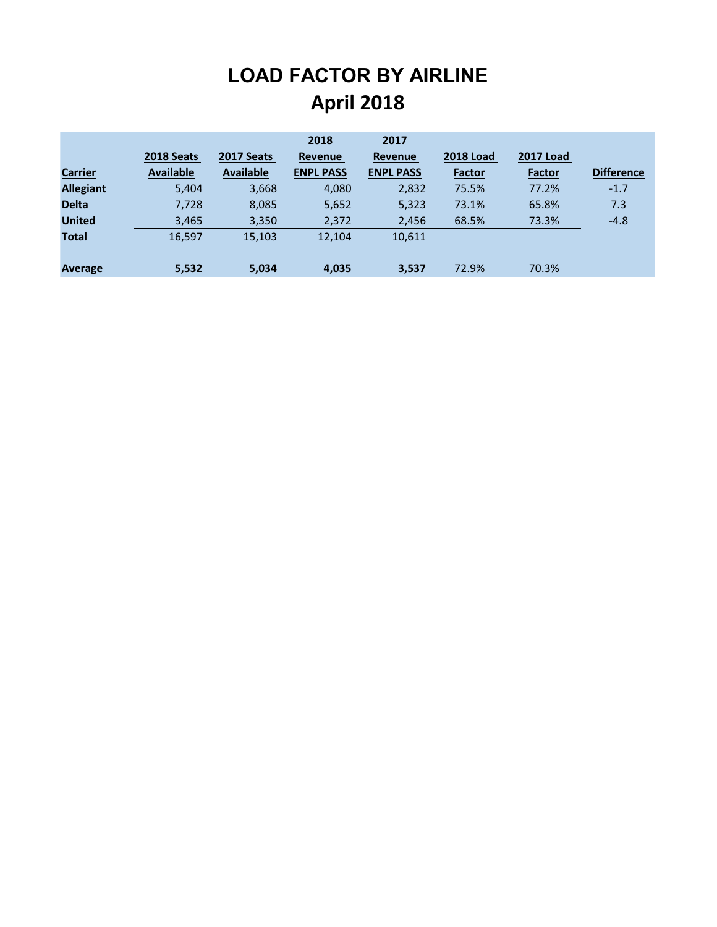## **LOAD FACTOR BY AIRLINE April 2018**

|                  |                  |                  | 2018             | 2017             |                  |                  |                   |
|------------------|------------------|------------------|------------------|------------------|------------------|------------------|-------------------|
|                  | 2018 Seats       | 2017 Seats       | <b>Revenue</b>   | <b>Revenue</b>   | <b>2018 Load</b> | <b>2017 Load</b> |                   |
| <b>Carrier</b>   | <b>Available</b> | <b>Available</b> | <b>ENPL PASS</b> | <b>ENPL PASS</b> | <b>Factor</b>    | <b>Factor</b>    | <b>Difference</b> |
| <b>Allegiant</b> | 5,404            | 3,668            | 4,080            | 2,832            | 75.5%            | 77.2%            | $-1.7$            |
| <b>Delta</b>     | 7,728            | 8,085            | 5,652            | 5,323            | 73.1%            | 65.8%            | 7.3               |
| <b>United</b>    | 3,465            | 3,350            | 2,372            | 2,456            | 68.5%            | 73.3%            | $-4.8$            |
| <b>Total</b>     | 16,597           | 15,103           | 12,104           | 10,611           |                  |                  |                   |
|                  |                  |                  |                  |                  |                  |                  |                   |
| Average          | 5,532            | 5,034            | 4,035            | 3,537            | 72.9%            | 70.3%            |                   |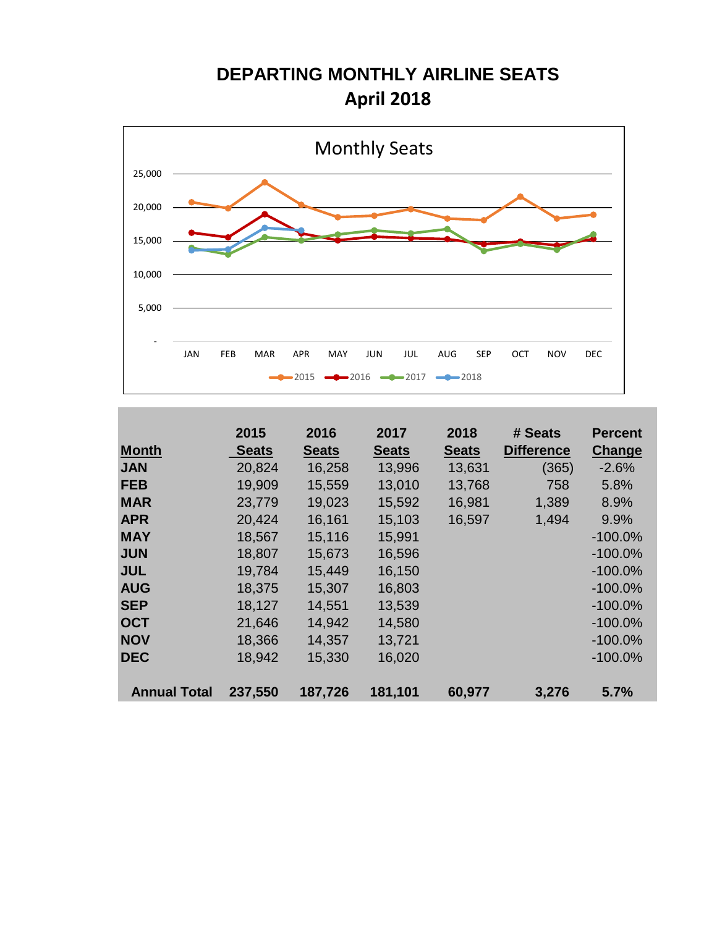### **DEPARTING MONTHLY AIRLINE SEATS April 2018**



|                     | 2015         | 2016         | 2017         | 2018         | # Seats           | <b>Percent</b> |
|---------------------|--------------|--------------|--------------|--------------|-------------------|----------------|
| <b>Month</b>        | <b>Seats</b> | <b>Seats</b> | <b>Seats</b> | <b>Seats</b> | <b>Difference</b> | Change         |
| <b>JAN</b>          | 20,824       | 16,258       | 13,996       | 13,631       | (365)             | $-2.6%$        |
| <b>FEB</b>          | 19,909       | 15,559       | 13,010       | 13,768       | 758               | 5.8%           |
| <b>MAR</b>          | 23,779       | 19,023       | 15,592       | 16,981       | 1,389             | 8.9%           |
| <b>APR</b>          | 20,424       | 16,161       | 15,103       | 16,597       | 1,494             | 9.9%           |
| <b>MAY</b>          | 18,567       | 15,116       | 15,991       |              |                   | $-100.0\%$     |
| <b>JUN</b>          | 18,807       | 15,673       | 16,596       |              |                   | $-100.0\%$     |
| <b>JUL</b>          | 19,784       | 15,449       | 16,150       |              |                   | $-100.0\%$     |
| <b>AUG</b>          | 18,375       | 15,307       | 16,803       |              |                   | $-100.0\%$     |
| <b>SEP</b>          | 18,127       | 14,551       | 13,539       |              |                   | $-100.0\%$     |
| <b>OCT</b>          | 21,646       | 14,942       | 14,580       |              |                   | $-100.0\%$     |
| <b>NOV</b>          | 18,366       | 14,357       | 13,721       |              |                   | $-100.0\%$     |
| <b>DEC</b>          | 18,942       | 15,330       | 16,020       |              |                   | $-100.0\%$     |
|                     |              |              |              |              |                   |                |
| <b>Annual Total</b> | 237,550      | 187,726      | 181,101      | 60,977       | 3,276             | 5.7%           |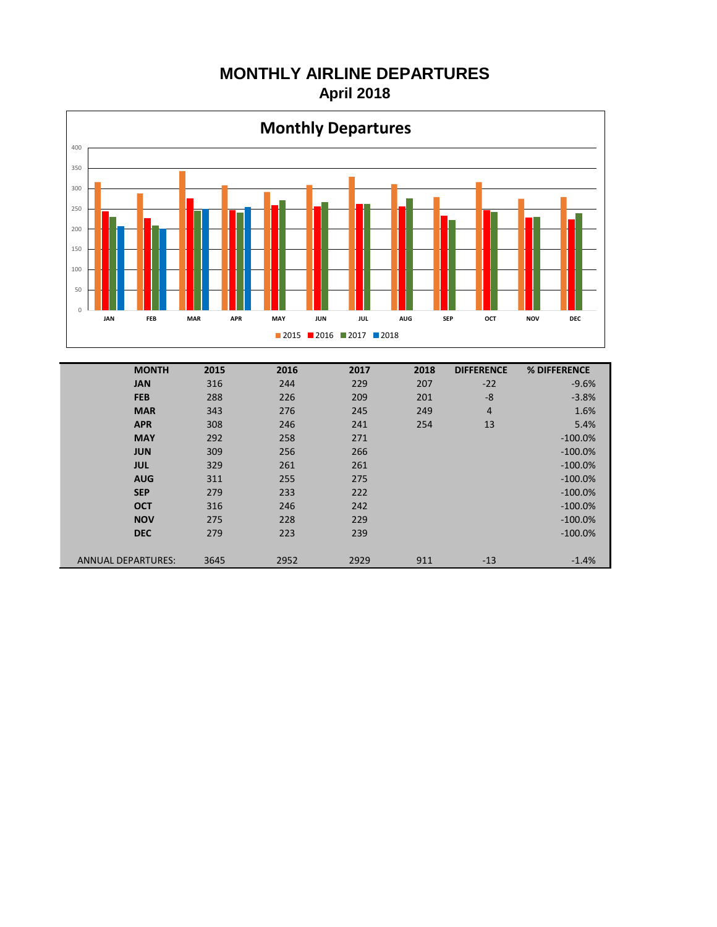#### **MONTHLY AIRLINE DEPARTURES April 2018**



| <b>MONTH</b>              | 2015 | 2016 | 2017 | 2018 | <b>DIFFERENCE</b> | % DIFFERENCE |
|---------------------------|------|------|------|------|-------------------|--------------|
| <b>JAN</b>                | 316  | 244  | 229  | 207  | $-22$             | $-9.6%$      |
| <b>FEB</b>                | 288  | 226  | 209  | 201  | $-8$              | $-3.8%$      |
| <b>MAR</b>                | 343  | 276  | 245  | 249  | 4                 | 1.6%         |
| <b>APR</b>                | 308  | 246  | 241  | 254  | 13                | 5.4%         |
| <b>MAY</b>                | 292  | 258  | 271  |      |                   | $-100.0\%$   |
| <b>JUN</b>                | 309  | 256  | 266  |      |                   | $-100.0\%$   |
| <b>JUL</b>                | 329  | 261  | 261  |      |                   | $-100.0\%$   |
| <b>AUG</b>                | 311  | 255  | 275  |      |                   | $-100.0%$    |
| <b>SEP</b>                | 279  | 233  | 222  |      |                   | $-100.0\%$   |
| <b>OCT</b>                | 316  | 246  | 242  |      |                   | $-100.0\%$   |
| <b>NOV</b>                | 275  | 228  | 229  |      |                   | $-100.0\%$   |
| <b>DEC</b>                | 279  | 223  | 239  |      |                   | $-100.0\%$   |
| <b>ANNUAL DEPARTURES:</b> | 3645 | 2952 | 2929 | 911  | $-13$             | $-1.4%$      |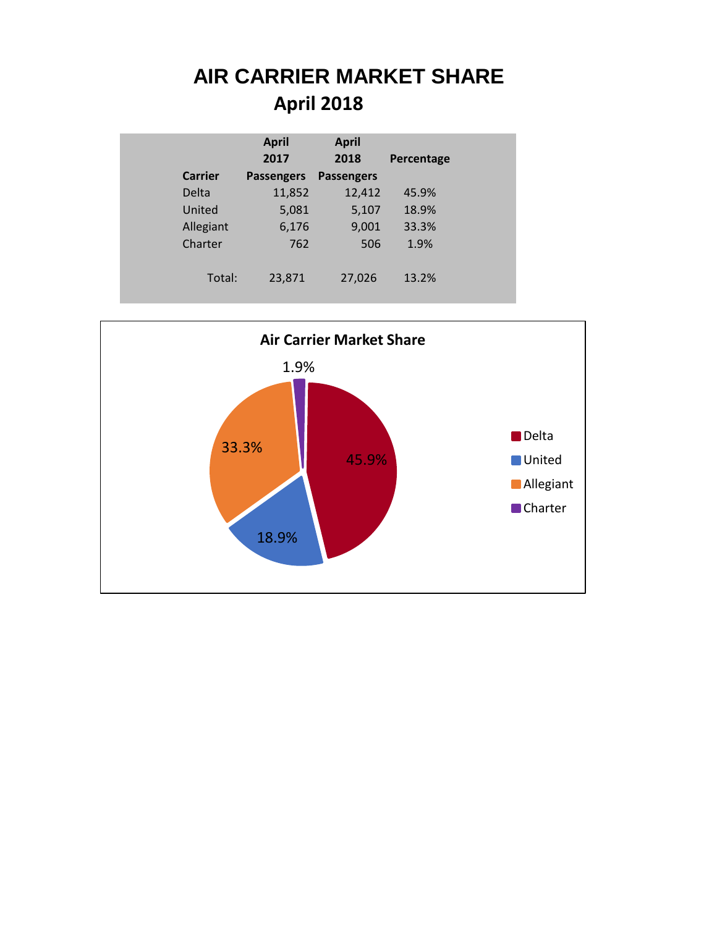## **AIR CARRIER MARKET SHARE April 2018**

|                | <b>April</b>      | <b>April</b>      |            |
|----------------|-------------------|-------------------|------------|
|                | 2017              | 2018              | Percentage |
| <b>Carrier</b> | <b>Passengers</b> | <b>Passengers</b> |            |
| Delta          | 11,852            | 12,412            | 45.9%      |
| United         | 5,081             | 5,107             | 18.9%      |
| Allegiant      | 6,176             | 9,001             | 33.3%      |
| Charter        | 762               | 506               | 1.9%       |
|                |                   |                   |            |
| Total:         | 23,871            | 27,026            | 13.2%      |
|                |                   |                   |            |

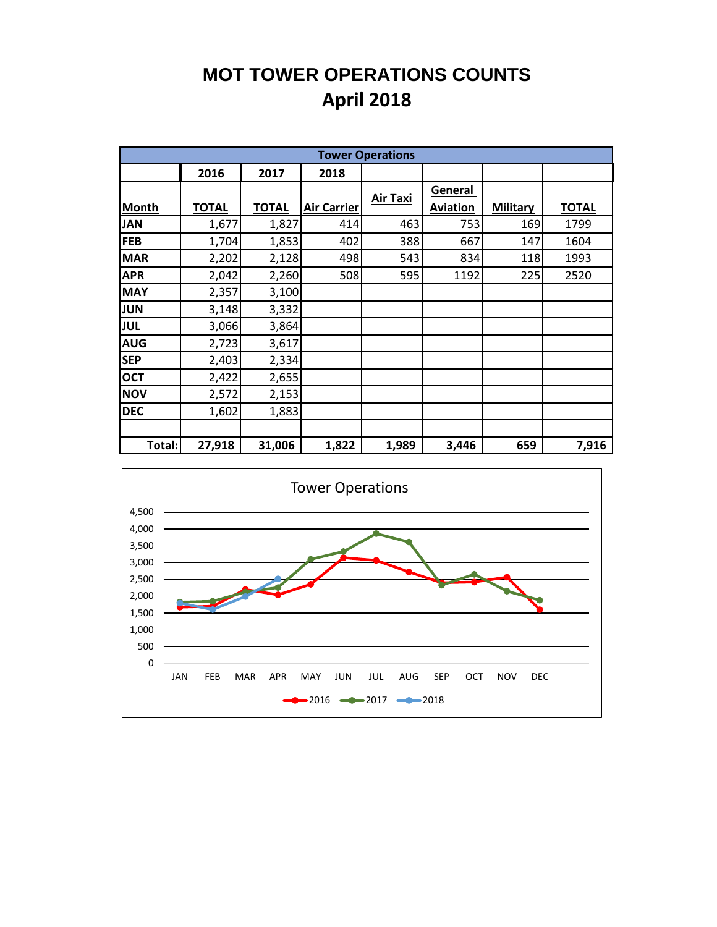### **MOT TOWER OPERATIONS COUNTS April 2018**

|              |              |              |                    | <b>Tower Operations</b> |                 |                 |              |
|--------------|--------------|--------------|--------------------|-------------------------|-----------------|-----------------|--------------|
|              | 2016         | 2017         | 2018               |                         |                 |                 |              |
|              |              |              |                    | <b>Air Taxi</b>         | General         |                 |              |
| <b>Month</b> | <b>TOTAL</b> | <b>TOTAL</b> | <b>Air Carrier</b> |                         | <b>Aviation</b> | <b>Military</b> | <b>TOTAL</b> |
| <b>JAN</b>   | 1,677        | 1,827        | 414                | 463                     | 753             | 169             | 1799         |
| <b>FEB</b>   | 1,704        | 1,853        | 402                | 388                     | 667             | 147             | 1604         |
| <b>MAR</b>   | 2,202        | 2,128        | 498                | 543                     | 834             | 118             | 1993         |
| <b>APR</b>   | 2,042        | 2,260        | 508                | 595                     | 1192            | 225             | 2520         |
| <b>MAY</b>   | 2,357        | 3,100        |                    |                         |                 |                 |              |
| <b>JUN</b>   | 3,148        | 3,332        |                    |                         |                 |                 |              |
| <b>JUL</b>   | 3,066        | 3,864        |                    |                         |                 |                 |              |
| <b>AUG</b>   | 2,723        | 3,617        |                    |                         |                 |                 |              |
| <b>SEP</b>   | 2,403        | 2,334        |                    |                         |                 |                 |              |
| <b>OCT</b>   | 2,422        | 2,655        |                    |                         |                 |                 |              |
| <b>NOV</b>   | 2,572        | 2,153        |                    |                         |                 |                 |              |
| <b>DEC</b>   | 1,602        | 1,883        |                    |                         |                 |                 |              |
|              |              |              |                    |                         |                 |                 |              |
| Total:       | 27,918       | 31,006       | 1,822              | 1,989                   | 3,446           | 659             | 7,916        |

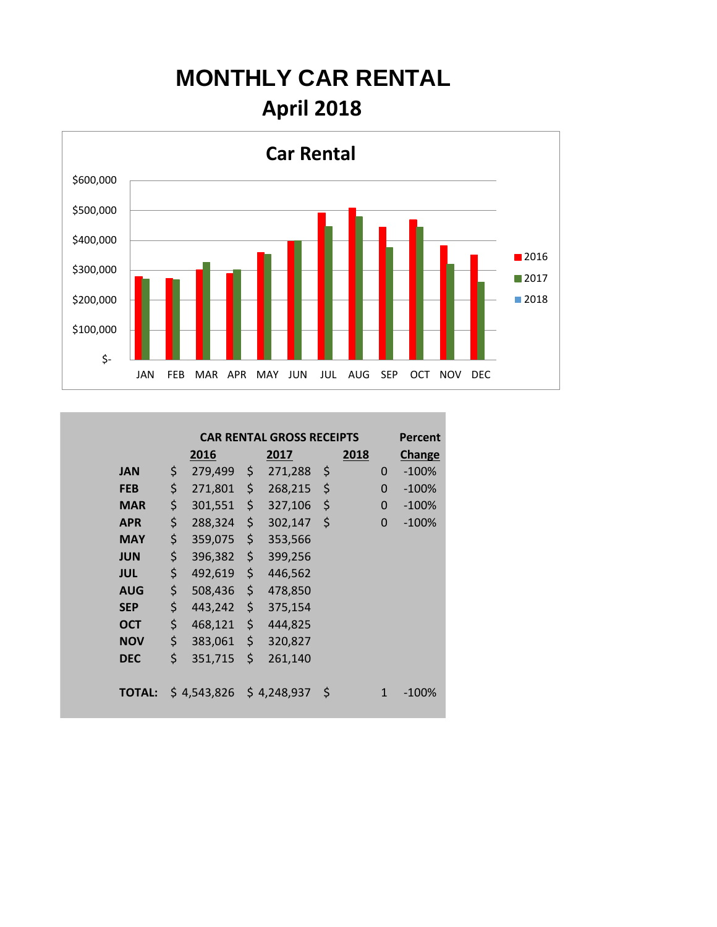## **MONTHLY CAR RENTAL April 2018**



|               | <b>CAR RENTAL GROSS RECEIPTS</b><br><b>Percent</b> |             |    |             |    |      |               |         |  |  |  |  |  |  |
|---------------|----------------------------------------------------|-------------|----|-------------|----|------|---------------|---------|--|--|--|--|--|--|
|               |                                                    | 2016        |    | 2017        |    | 2018 | <b>Change</b> |         |  |  |  |  |  |  |
| <b>JAN</b>    | \$                                                 | 279,499     | \$ | 271,288     | \$ |      | 0             | $-100%$ |  |  |  |  |  |  |
| <b>FEB</b>    | \$                                                 | 271,801     | \$ | 268,215     | \$ |      | $\Omega$      | $-100%$ |  |  |  |  |  |  |
| <b>MAR</b>    | \$                                                 | 301,551     | \$ | 327,106     | \$ |      | $\Omega$      | $-100%$ |  |  |  |  |  |  |
| <b>APR</b>    | \$                                                 | 288,324     | \$ | 302,147     | \$ |      | 0             | $-100%$ |  |  |  |  |  |  |
| <b>MAY</b>    | \$                                                 | 359,075     | \$ | 353,566     |    |      |               |         |  |  |  |  |  |  |
| <b>JUN</b>    | \$                                                 | 396,382     | \$ | 399,256     |    |      |               |         |  |  |  |  |  |  |
| <b>JUL</b>    | \$                                                 | 492,619     | \$ | 446,562     |    |      |               |         |  |  |  |  |  |  |
| <b>AUG</b>    | \$                                                 | 508,436     | \$ | 478,850     |    |      |               |         |  |  |  |  |  |  |
| <b>SEP</b>    | \$                                                 | 443,242     | \$ | 375,154     |    |      |               |         |  |  |  |  |  |  |
| <b>OCT</b>    | \$                                                 | 468,121     | \$ | 444,825     |    |      |               |         |  |  |  |  |  |  |
| <b>NOV</b>    | \$                                                 | 383,061     | \$ | 320,827     |    |      |               |         |  |  |  |  |  |  |
| <b>DEC</b>    | \$                                                 | 351,715     | \$ | 261,140     |    |      |               |         |  |  |  |  |  |  |
|               |                                                    |             |    |             |    |      |               |         |  |  |  |  |  |  |
| <b>TOTAL:</b> |                                                    | \$4,543,826 |    | \$4,248,937 | \$ |      | 1             | $-100%$ |  |  |  |  |  |  |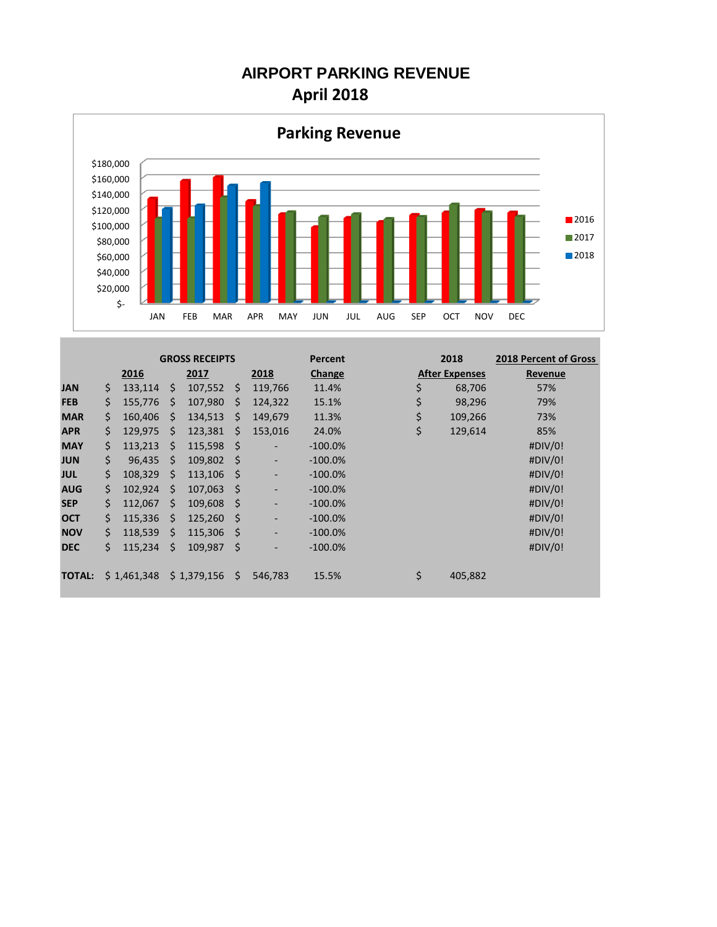#### **AIRPORT PARKING REVENUE April 2018**



|               |     |             |              | <b>GROSS RECEIPTS</b> |     |         | Percent    | 2018                  | <b>2018 Percent of Gross</b> |  |  |
|---------------|-----|-------------|--------------|-----------------------|-----|---------|------------|-----------------------|------------------------------|--|--|
|               |     | 2016        |              | 2017                  |     | 2018    | Change     | <b>After Expenses</b> | Revenue                      |  |  |
| <b>JAN</b>    | \$  | 133.114     | Ŝ.           | 107,552               | S.  | 119,766 | 11.4%      | \$<br>68,706          | 57%                          |  |  |
| <b>FEB</b>    | \$  | 155,776     | Ŝ.           | 107,980               | Ŝ.  | 124,322 | 15.1%      | \$<br>98,296          | 79%                          |  |  |
| <b>MAR</b>    | \$  | 160.406     | <sup>S</sup> | 134,513               | Ŝ   | 149,679 | 11.3%      | \$<br>109,266         | 73%                          |  |  |
| <b>APR</b>    | \$  | 129.975     | <sup>S</sup> | 123,381               | Ŝ.  | 153,016 | 24.0%      | \$<br>129,614         | 85%                          |  |  |
| <b>MAY</b>    | \$  | 113,213     | Ŝ.           | 115,598               | -S  | -       | $-100.0\%$ |                       | #DIV/0!                      |  |  |
| <b>JUN</b>    | \$. | 96.435      | <sup>5</sup> | 109,802               | - S | -       | $-100.0\%$ |                       | #DIV/0!                      |  |  |
| <b>JUL</b>    | \$  | 108.329     | <sup>5</sup> | 113,106               | - S | -       | $-100.0%$  |                       | #DIV/0!                      |  |  |
| <b>AUG</b>    | \$  | 102,924     | Ŝ.           | 107,063               | -S  |         | $-100.0\%$ |                       | #DIV/0!                      |  |  |
| <b>SEP</b>    | \$  | 112.067     | Ŝ.           | 109,608               | - S |         | $-100.0\%$ |                       | #DIV/0!                      |  |  |
| <b>OCT</b>    | \$  | 115.336     | <sup>5</sup> | 125,260               | - S |         | $-100.0%$  |                       | #DIV/0!                      |  |  |
| <b>NOV</b>    | \$  | 118.539     | Ŝ.           | 115,306               | -Ŝ  | -       | $-100.0%$  |                       | #DIV/0!                      |  |  |
| <b>DEC</b>    | \$  | 115,234     | Ś            | 109,987               | -Ś  |         | $-100.0\%$ |                       | #DIV/0!                      |  |  |
|               |     |             |              |                       |     |         |            |                       |                              |  |  |
| <b>TOTAL:</b> |     | \$1,461,348 |              | \$1,379,156           | S.  | 546.783 | 15.5%      | \$<br>405,882         |                              |  |  |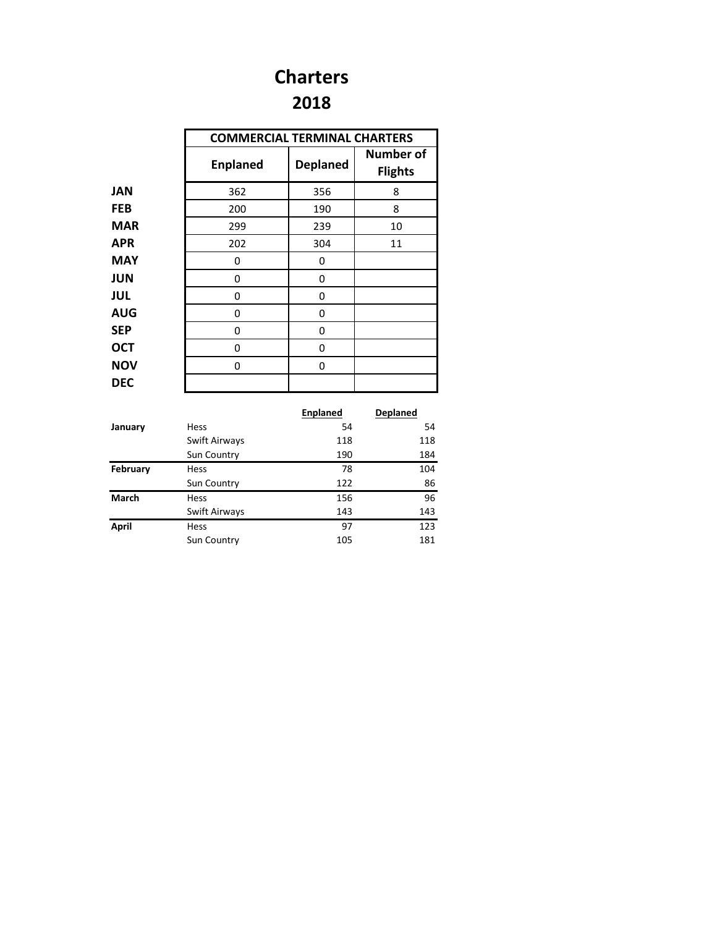### **2018 Charters**

|            | <b>COMMERCIAL TERMINAL CHARTERS</b> |                 |                                    |
|------------|-------------------------------------|-----------------|------------------------------------|
|            | <b>Enplaned</b>                     | <b>Deplaned</b> | <b>Number of</b><br><b>Flights</b> |
| JAN        | 362                                 | 356             | 8                                  |
| <b>FEB</b> | 200                                 | 190             | 8                                  |
| MAR        | 299                                 | 239             | 10                                 |
| <b>APR</b> | 202                                 | 304             | 11                                 |
| MAY        | 0                                   | 0               |                                    |
| <b>JUN</b> | 0                                   | 0               |                                    |
| <b>JUL</b> | 0                                   | 0               |                                    |
| <b>AUG</b> | 0                                   | 0               |                                    |
| <b>SEP</b> | 0                                   | 0               |                                    |
| <b>OCT</b> | 0                                   | 0               |                                    |
| <b>NOV</b> | 0                                   | 0               |                                    |
| <b>DEC</b> |                                     |                 |                                    |

|              |               | <b>Enplaned</b> | <b>Deplaned</b> |
|--------------|---------------|-----------------|-----------------|
| January      | Hess          | 54              | 54              |
|              | Swift Airways | 118             | 118             |
|              | Sun Country   | 190             | 184             |
| February     | Hess          | 78              | 104             |
|              | Sun Country   | 122             | 86              |
| <b>March</b> | Hess          | 156             | 96              |
|              | Swift Airways | 143             | 143             |
| April        | Hess          | 97              | 123             |
|              | Sun Country   | 105             | 181             |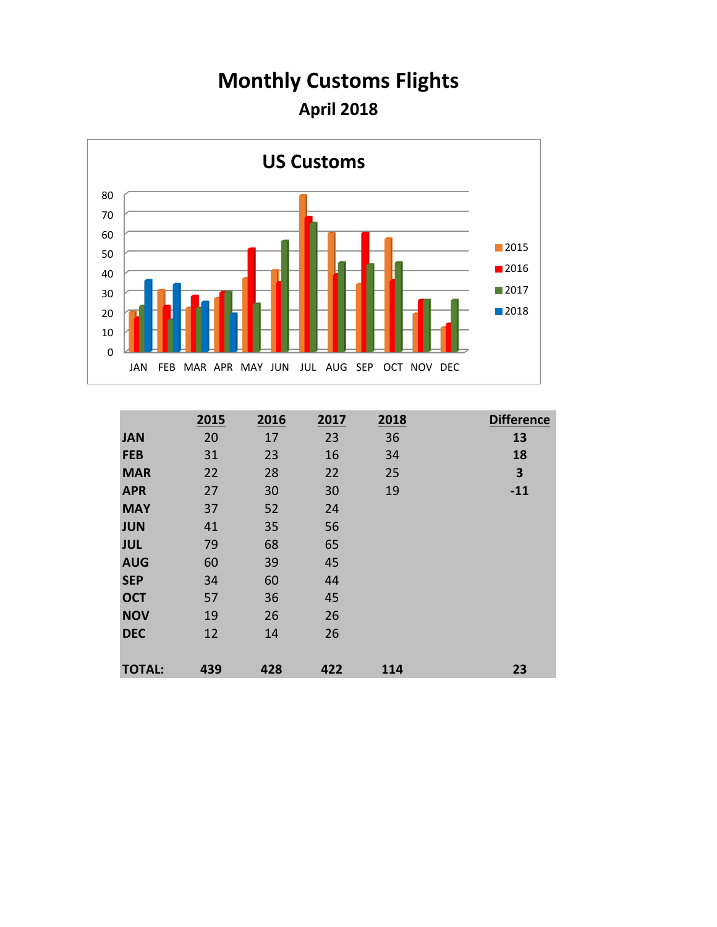## **Monthly Customs Flights April 2018**



|               | 2015 | 2016 | 2017 | 2018 | <b>Difference</b> |
|---------------|------|------|------|------|-------------------|
| <b>JAN</b>    | 20   | 17   | 23   | 36   | 13                |
| <b>FEB</b>    | 31   | 23   | 16   | 34   | 18                |
| <b>MAR</b>    | 22   | 28   | 22   | 25   | 3                 |
| <b>APR</b>    | 27   | 30   | 30   | 19   | $-11$             |
| <b>MAY</b>    | 37   | 52   | 24   |      |                   |
| <b>JUN</b>    | 41   | 35   | 56   |      |                   |
| <b>JUL</b>    | 79   | 68   | 65   |      |                   |
| <b>AUG</b>    | 60   | 39   | 45   |      |                   |
| <b>SEP</b>    | 34   | 60   | 44   |      |                   |
| <b>OCT</b>    | 57   | 36   | 45   |      |                   |
| <b>NOV</b>    | 19   | 26   | 26   |      |                   |
| <b>DEC</b>    | 12   | 14   | 26   |      |                   |
|               |      |      |      |      |                   |
| <b>TOTAL:</b> | 439  | 428  | 422  | 114  | 23                |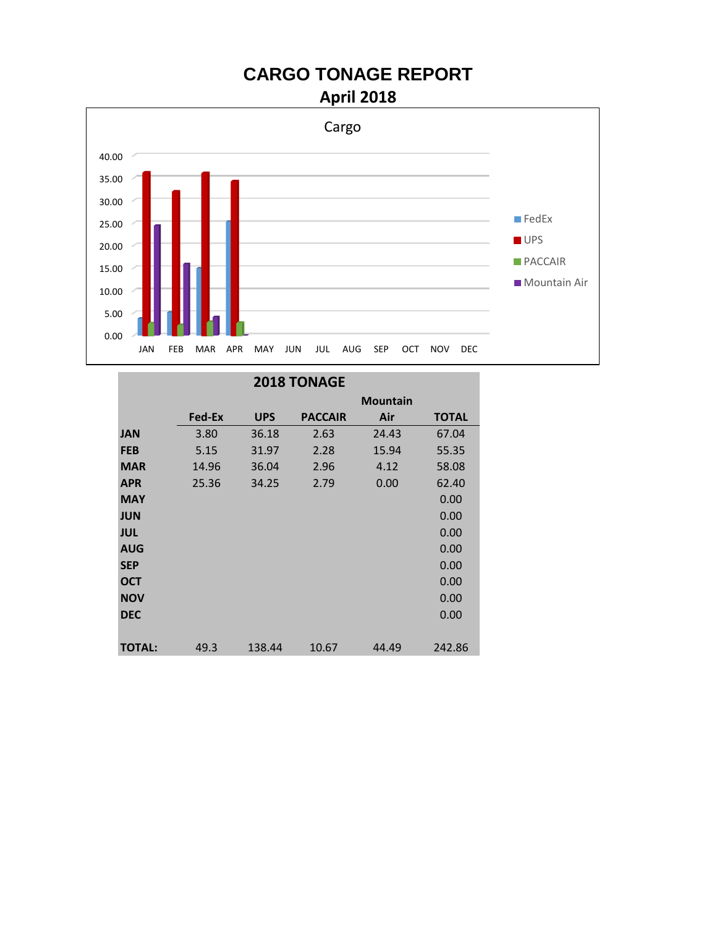# **CARGO TONAGE REPORT**





|               |        |            | <b>2018 TONAGE</b> |                 |              |
|---------------|--------|------------|--------------------|-----------------|--------------|
|               |        |            |                    | <b>Mountain</b> |              |
|               | Fed-Ex | <b>UPS</b> | <b>PACCAIR</b>     | Air             | <b>TOTAL</b> |
| <b>JAN</b>    | 3.80   | 36.18      | 2.63               | 24.43           | 67.04        |
| <b>FEB</b>    | 5.15   | 31.97      | 2.28               | 15.94           | 55.35        |
| <b>MAR</b>    | 14.96  | 36.04      | 2.96               | 4.12            | 58.08        |
| <b>APR</b>    | 25.36  | 34.25      | 2.79               | 0.00            | 62.40        |
| <b>MAY</b>    |        |            |                    |                 | 0.00         |
| <b>JUN</b>    |        |            |                    |                 | 0.00         |
| <b>JUL</b>    |        |            |                    |                 | 0.00         |
| <b>AUG</b>    |        |            |                    |                 | 0.00         |
| <b>SEP</b>    |        |            |                    |                 | 0.00         |
| <b>OCT</b>    |        |            |                    |                 | 0.00         |
| <b>NOV</b>    |        |            |                    |                 | 0.00         |
| <b>DEC</b>    |        |            |                    |                 | 0.00         |
|               |        |            |                    |                 |              |
| <b>TOTAL:</b> | 49.3   | 138.44     | 10.67              | 44.49           | 242.86       |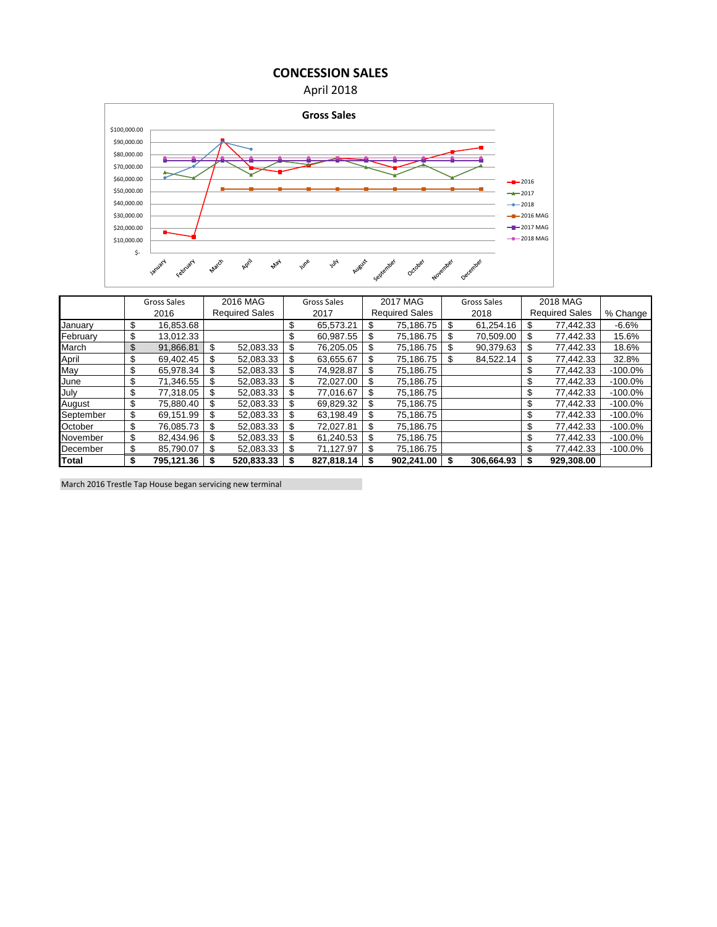**CONCESSION SALES**





|              |                  | Gross Sales |                       | 2016 MAG   |                 | Gross Sales |                       | 2017 MAG   |    | Gross Sales |           | 2018 MAG              |            |
|--------------|------------------|-------------|-----------------------|------------|-----------------|-------------|-----------------------|------------|----|-------------|-----------|-----------------------|------------|
|              |                  | 2016        | <b>Required Sales</b> |            |                 | 2017        | <b>Required Sales</b> |            |    | 2018        |           | <b>Required Sales</b> | % Change   |
| January      | \$               | 16,853.68   |                       |            | \$              | 65.573.21   | \$                    | 75,186.75  | \$ | 61,254.16   | \$        | 77,442.33             | $-6.6%$    |
| February     | \$               | 13,012.33   |                       |            | S               | 60,987.55   | \$                    | 75,186.75  | \$ | 70,509.00   | \$        | 77,442.33             | 15.6%      |
| March        | \$               | 91,866.81   | \$                    | 52,083.33  | \$              | 76,205.05   | \$                    | 75,186.75  | \$ | 90,379.63   | \$        | 77,442.33             | 18.6%      |
| April        | \$               | 69.402.45   | \$                    | 52,083.33  | \$              | 63,655.67   | \$                    | 75,186.75  | \$ | 84,522.14   | \$        | 77,442.33             | 32.8%      |
| May          | \$               | 65,978.34   | \$                    | 52,083.33  |                 | 74,928.87   | \$                    | 75,186.75  |    |             | \$        | 77,442.33             | $-100.0\%$ |
| June         | \$               | 71,346.55   |                       | 52,083.33  | \$              | 72,027.00   | \$                    | 75,186.75  |    |             | \$        | 77,442.33             | $-100.0\%$ |
| July         | \$               | 77,318.05   | S                     | 52,083.33  | \$              | 77,016.67   | \$                    | 75,186.75  |    |             | \$        | 77,442.33             | $-100.0\%$ |
| August       | \$               | 75,880.40   | \$                    | 52,083.33  | \$              | 69,829.32   | \$                    | 75,186.75  |    |             | \$        | 77,442.33             | $-100.0\%$ |
| September    | \$               | 69,151.99   | \$                    | 52,083.33  | \$              | 63,198.49   | \$                    | 75,186.75  |    |             | \$        | 77,442.33             | $-100.0\%$ |
| October      | \$               | 76,085.73   | \$                    | 52,083.33  | \$              | 72,027.81   | \$                    | 75,186.75  |    |             | \$        | 77,442.33             | $-100.0\%$ |
| November     | \$               | 82,434.96   |                       | 52,083.33  | \$              | 61,240.53   | \$                    | 75,186.75  |    |             | \$        | 77,442.33             | $-100.0\%$ |
| December     | \$<br>85,790.07  |             | \$<br>52,083.33       |            | 71,127.97<br>\$ |             | \$<br>75,186.75       |            |    |             | 77,442.33 |                       | $-100.0\%$ |
| <b>Total</b> | \$<br>795,121.36 |             |                       | 520,833.33 |                 | 827,818.14  |                       | 902,241.00 |    | 306,664.93  |           | 929,308.00            |            |

March 2016 Trestle Tap House began servicing new terminal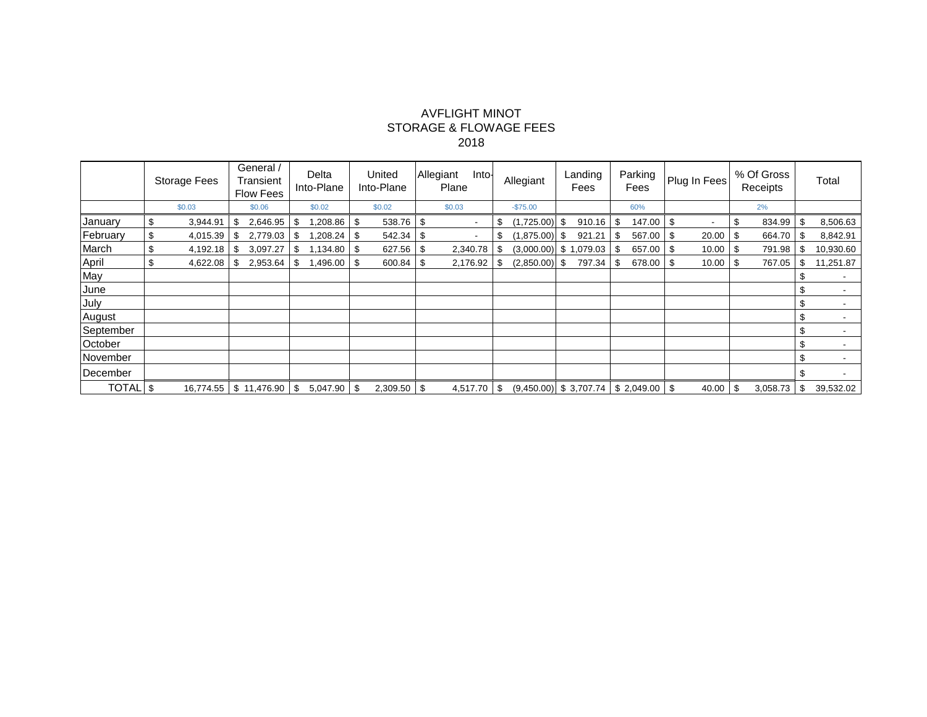#### AVFLIGHT MINOT STORAGE & FLOWAGE FEES 2018

|           | <b>Storage Fees</b> |          | General /<br>Transient<br><b>Flow Fees</b> |                             | Delta<br>Into-Plane |                  | United<br>Into-Plane |                   | Allegiant<br>Into-<br>Plane |           | Allegiant     |     | Landing<br>Fees                             |     | Parking<br>Fees |      | Plug In Fees |    | % Of Gross<br>Receipts |      |               | Total |           |
|-----------|---------------------|----------|--------------------------------------------|-----------------------------|---------------------|------------------|----------------------|-------------------|-----------------------------|-----------|---------------|-----|---------------------------------------------|-----|-----------------|------|--------------|----|------------------------|------|---------------|-------|-----------|
|           | \$0.03              |          | \$0.06                                     |                             |                     | \$0.02<br>\$0.02 |                      | \$0.03            |                             | $-$75.00$ |               |     |                                             | 60% |                 |      |              | 2% |                        |      |               |       |           |
| January   |                     | 3,944.91 |                                            | 2,646.95                    | -\$                 | $.208.86$ \ \$   |                      | 538.76            | -\$                         |           |               | \$  | (1,725.00)                                  |     | 910.16          | -\$  | 147.00       |    | $\blacksquare$         | \$   | 834.99        | \$    | 8,506.63  |
| February  |                     | 4,015.39 |                                            | $2,779.03$ \$               |                     | $,208.24$ \$     |                      | $542.34$ \\$      |                             |           |               | \$  | (1,875.00)                                  | -\$ | 921.21          | -\$  | 567.00 \$    |    | 20.00                  | - \$ | 664.70        | - \$  | 8,842.91  |
| March     | \$                  | 4,192.18 | \$                                         |                             |                     |                  |                      | 627.56            | \$                          |           | 2,340.78      | S   | $(3,000.00)$ \$ 1,079.03                    |     |                 | l \$ | 657.00 \$    |    | 10.00                  | -\$  | 791.98        | - \$  | 10,930.60 |
| April     | \$                  | 4,622.08 | -\$                                        |                             |                     | $1,496.00$ \ \$  |                      | 600.84            | l \$                        |           | 2,176.92      | -\$ | $(2,850.00)$ \$                             |     | 797.34          | l \$ | 678.00 \$    |    | 10.00                  | - \$ | 767.05        | \$    | 11,251.87 |
| May       |                     |          |                                            |                             |                     |                  |                      |                   |                             |           |               |     |                                             |     |                 |      |              |    |                        |      |               |       |           |
| June      |                     |          |                                            |                             |                     |                  |                      |                   |                             |           |               |     |                                             |     |                 |      |              |    |                        |      |               |       |           |
| July      |                     |          |                                            |                             |                     |                  |                      |                   |                             |           |               |     |                                             |     |                 |      |              |    |                        |      |               |       |           |
| August    |                     |          |                                            |                             |                     |                  |                      |                   |                             |           |               |     |                                             |     |                 |      |              |    |                        |      |               |       |           |
| September |                     |          |                                            |                             |                     |                  |                      |                   |                             |           |               |     |                                             |     |                 |      |              |    |                        |      |               |       |           |
| October   |                     |          |                                            |                             |                     |                  |                      |                   |                             |           |               |     |                                             |     |                 |      |              |    |                        |      |               |       |           |
| November  |                     |          |                                            |                             |                     |                  |                      |                   |                             |           |               |     |                                             |     |                 |      |              |    |                        |      |               |       |           |
| December  |                     |          |                                            |                             |                     |                  |                      |                   |                             |           |               |     |                                             |     |                 |      |              |    |                        |      |               |       |           |
| TOTAL \$  |                     |          |                                            | $16,774.55$ \$ 11,476.90 \$ |                     | $5.047.90$ \ \$  |                      | $2,309.50$ \ \ \$ |                             |           | $4,517.70$ \$ |     | $(9,450.00)$ \$ 3,707.74   \$ 2,049.00   \$ |     |                 |      |              |    | 40.00                  | \$   | $3,058.73$ \$ |       | 39,532.02 |